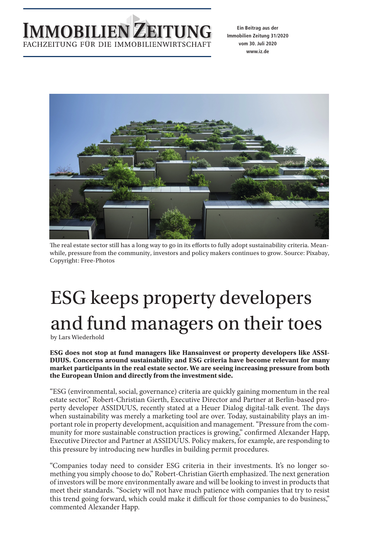

**Ein Beitrag aus der Immobilien Zeitung 31/2020 vom 30. Juli 2020 www.iz.de**



The real estate sector still has a long way to go in its efforts to fully adopt sustainability criteria. Meanwhile, pressure from the community, investors and policy makers continues to grow. Source: Pixabay, Copyright: Free-Photos

## ESG keeps property developers and fund managers on their toes

by Lars Wiederhold

**ESG does not stop at fund managers like Hansainvest or property developers like ASSI-DUUS. Concerns around sustainability and ESG criteria have become relevant for many market participants in the real estate sector. We are seeing increasing pressure from both the European Union and directly from the investment side.**

"ESG (environmental, social, governance) criteria are quickly gaining momentum in the real estate sector," Robert-Christian Gierth, Executive Director and Partner at Berlin-based property developer ASSIDUUS, recently stated at a Heuer Dialog digital-talk event. The days when sustainability was merely a marketing tool are over. Today, sustainability plays an important role in property development, acquisition and management. "Pressure from the community for more sustainable construction practices is growing," confirmed Alexander Happ, Executive Director and Partner at ASSIDUUS. Policy makers, for example, are responding to this pressure by introducing new hurdles in building permit procedures.

"Companies today need to consider ESG criteria in their investments. It's no longer something you simply choose to do," Robert-Christian Gierth emphasized. The next generation of investors will be more environmentally aware and will be looking to invest in products that meet their standards. "Society will not have much patience with companies that try to resist this trend going forward, which could make it difficult for those companies to do business," commented Alexander Happ.